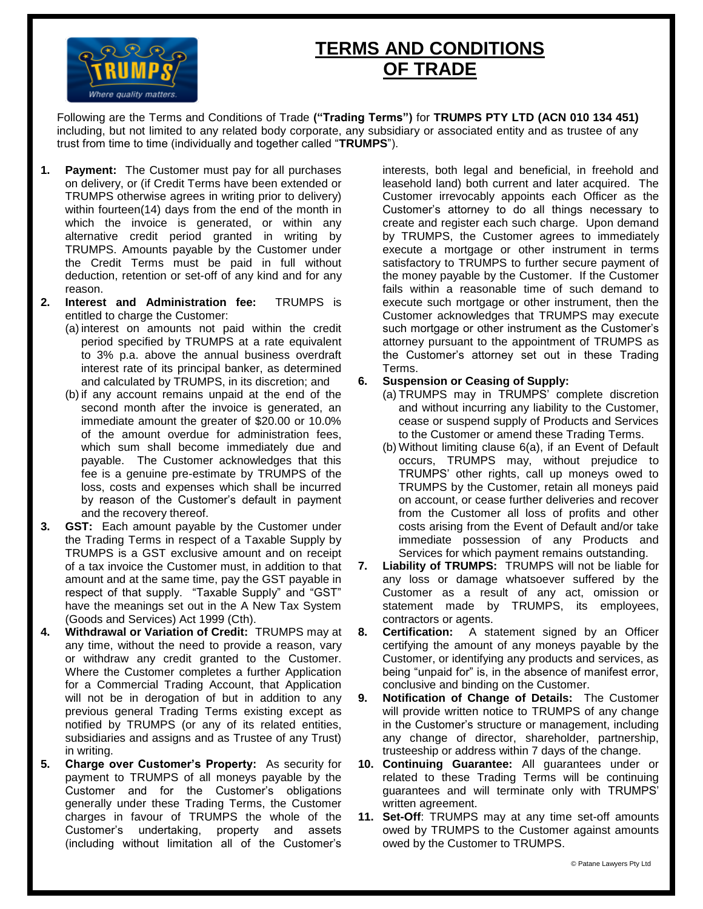

# **TERMS AND CONDITIONS OF TRADE**

Following are the Terms and Conditions of Trade **("Trading Terms")** for **TRUMPS PTY LTD (ACN 010 134 451)**  including, but not limited to any related body corporate, any subsidiary or associated entity and as trustee of any trust from time to time (individually and together called "**TRUMPS**").

- **1. Payment:** The Customer must pay for all purchases on delivery, or (if Credit Terms have been extended or TRUMPS otherwise agrees in writing prior to delivery) within fourteen(14) days from the end of the month in which the invoice is generated, or within any alternative credit period granted in writing by TRUMPS. Amounts payable by the Customer under the Credit Terms must be paid in full without deduction, retention or set-off of any kind and for any reason.
- **2. Interest and Administration fee:** TRUMPS is entitled to charge the Customer:
	- (a) interest on amounts not paid within the credit period specified by TRUMPS at a rate equivalent to 3% p.a. above the annual business overdraft interest rate of its principal banker, as determined and calculated by TRUMPS, in its discretion; and
	- (b) if any account remains unpaid at the end of the second month after the invoice is generated, an immediate amount the greater of \$20.00 or 10.0% of the amount overdue for administration fees, which sum shall become immediately due and payable. The Customer acknowledges that this fee is a genuine pre-estimate by TRUMPS of the loss, costs and expenses which shall be incurred by reason of the Customer's default in payment and the recovery thereof.
- **3. GST:** Each amount payable by the Customer under the Trading Terms in respect of a Taxable Supply by TRUMPS is a GST exclusive amount and on receipt of a tax invoice the Customer must, in addition to that amount and at the same time, pay the GST payable in respect of that supply. "Taxable Supply" and "GST" have the meanings set out in the A New Tax System (Goods and Services) Act 1999 (Cth).
- **4. Withdrawal or Variation of Credit:** TRUMPS may at any time, without the need to provide a reason, vary or withdraw any credit granted to the Customer. Where the Customer completes a further Application for a Commercial Trading Account, that Application will not be in derogation of but in addition to any previous general Trading Terms existing except as notified by TRUMPS (or any of its related entities, subsidiaries and assigns and as Trustee of any Trust) in writing.
- **5. Charge over Customer's Property:** As security for payment to TRUMPS of all moneys payable by the Customer and for the Customer's obligations generally under these Trading Terms, the Customer charges in favour of TRUMPS the whole of the Customer's undertaking, property and assets (including without limitation all of the Customer's

interests, both legal and beneficial, in freehold and leasehold land) both current and later acquired. The Customer irrevocably appoints each Officer as the Customer's attorney to do all things necessary to create and register each such charge. Upon demand by TRUMPS, the Customer agrees to immediately execute a mortgage or other instrument in terms satisfactory to TRUMPS to further secure payment of the money payable by the Customer. If the Customer fails within a reasonable time of such demand to execute such mortgage or other instrument, then the Customer acknowledges that TRUMPS may execute such mortgage or other instrument as the Customer's attorney pursuant to the appointment of TRUMPS as the Customer's attorney set out in these Trading Terms.

- **6. Suspension or Ceasing of Supply:**
	- (a) TRUMPS may in TRUMPS' complete discretion and without incurring any liability to the Customer, cease or suspend supply of Products and Services to the Customer or amend these Trading Terms.
	- (b) Without limiting clause 6(a), if an Event of Default occurs, TRUMPS may, without prejudice to TRUMPS' other rights, call up moneys owed to TRUMPS by the Customer, retain all moneys paid on account, or cease further deliveries and recover from the Customer all loss of profits and other costs arising from the Event of Default and/or take immediate possession of any Products and Services for which payment remains outstanding.
- **7. Liability of TRUMPS:** TRUMPS will not be liable for any loss or damage whatsoever suffered by the Customer as a result of any act, omission or statement made by TRUMPS, its employees, contractors or agents.
- **8. Certification:** A statement signed by an Officer certifying the amount of any moneys payable by the Customer, or identifying any products and services, as being "unpaid for" is, in the absence of manifest error, conclusive and binding on the Customer.
- **9. Notification of Change of Details:** The Customer will provide written notice to TRUMPS of any change in the Customer's structure or management, including any change of director, shareholder, partnership, trusteeship or address within 7 days of the change.
- **10. Continuing Guarantee:** All guarantees under or related to these Trading Terms will be continuing guarantees and will terminate only with TRUMPS' written agreement.
- **11. Set-Off**: TRUMPS may at any time set-off amounts owed by TRUMPS to the Customer against amounts owed by the Customer to TRUMPS.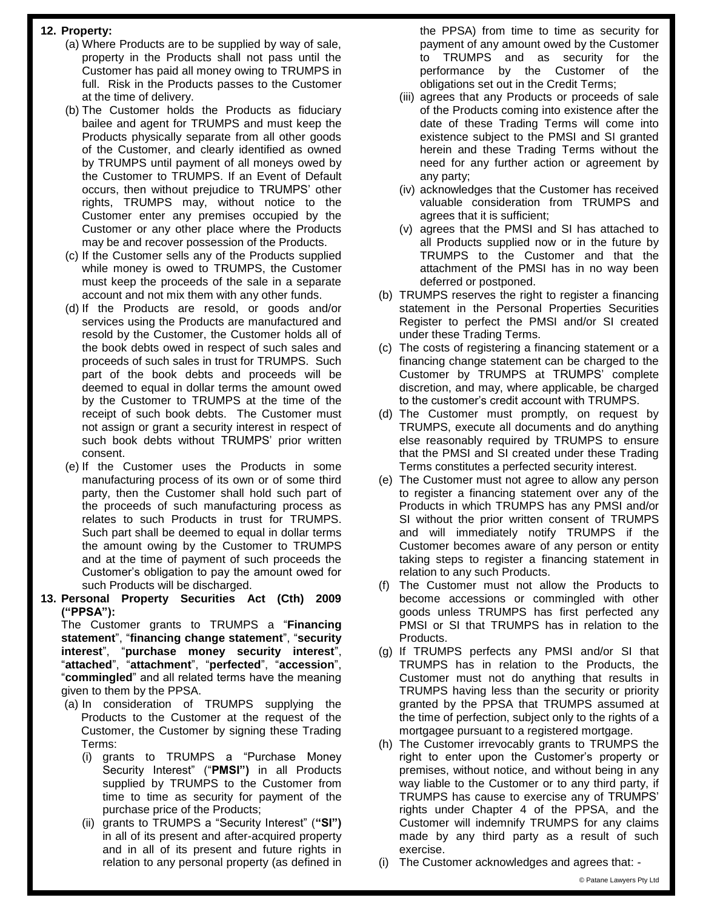# **12. Property:**

- (a) Where Products are to be supplied by way of sale, property in the Products shall not pass until the Customer has paid all money owing to TRUMPS in full. Risk in the Products passes to the Customer at the time of delivery.
- (b) The Customer holds the Products as fiduciary bailee and agent for TRUMPS and must keep the Products physically separate from all other goods of the Customer, and clearly identified as owned by TRUMPS until payment of all moneys owed by the Customer to TRUMPS. If an Event of Default occurs, then without prejudice to TRUMPS' other rights, TRUMPS may, without notice to the Customer enter any premises occupied by the Customer or any other place where the Products may be and recover possession of the Products.
- (c) If the Customer sells any of the Products supplied while money is owed to TRUMPS, the Customer must keep the proceeds of the sale in a separate account and not mix them with any other funds.
- (d) If the Products are resold, or goods and/or services using the Products are manufactured and resold by the Customer, the Customer holds all of the book debts owed in respect of such sales and proceeds of such sales in trust for TRUMPS. Such part of the book debts and proceeds will be deemed to equal in dollar terms the amount owed by the Customer to TRUMPS at the time of the receipt of such book debts. The Customer must not assign or grant a security interest in respect of such book debts without TRUMPS' prior written consent.
- (e) If the Customer uses the Products in some manufacturing process of its own or of some third party, then the Customer shall hold such part of the proceeds of such manufacturing process as relates to such Products in trust for TRUMPS. Such part shall be deemed to equal in dollar terms the amount owing by the Customer to TRUMPS and at the time of payment of such proceeds the Customer's obligation to pay the amount owed for such Products will be discharged.
- **13. Personal Property Securities Act (Cth) 2009 ("PPSA"):**

The Customer grants to TRUMPS a "**Financing statement**", "**financing change statement**", "**security interest**", "**purchase money security interest**", "**attached**", "**attachment**", "**perfected**", "**accession**", "**commingled**" and all related terms have the meaning given to them by the PPSA.

- (a) In consideration of TRUMPS supplying the Products to the Customer at the request of the Customer, the Customer by signing these Trading Terms:
	- (i) grants to TRUMPS a "Purchase Money Security Interest" ("**PMSI")** in all Products supplied by TRUMPS to the Customer from time to time as security for payment of the purchase price of the Products;
	- (ii) grants to TRUMPS a "Security Interest" (**"SI")** in all of its present and after-acquired property and in all of its present and future rights in relation to any personal property (as defined in

the PPSA) from time to time as security for payment of any amount owed by the Customer to TRUMPS and as security for the performance by the Customer of the obligations set out in the Credit Terms;

- (iii) agrees that any Products or proceeds of sale of the Products coming into existence after the date of these Trading Terms will come into existence subject to the PMSI and SI granted herein and these Trading Terms without the need for any further action or agreement by any party;
- (iv) acknowledges that the Customer has received valuable consideration from TRUMPS and agrees that it is sufficient;
- (v) agrees that the PMSI and SI has attached to all Products supplied now or in the future by TRUMPS to the Customer and that the attachment of the PMSI has in no way been deferred or postponed.
- (b) TRUMPS reserves the right to register a financing statement in the Personal Properties Securities Register to perfect the PMSI and/or SI created under these Trading Terms.
- (c) The costs of registering a financing statement or a financing change statement can be charged to the Customer by TRUMPS at TRUMPS' complete discretion, and may, where applicable, be charged to the customer's credit account with TRUMPS.
- (d) The Customer must promptly, on request by TRUMPS, execute all documents and do anything else reasonably required by TRUMPS to ensure that the PMSI and SI created under these Trading Terms constitutes a perfected security interest.
- (e) The Customer must not agree to allow any person to register a financing statement over any of the Products in which TRUMPS has any PMSI and/or SI without the prior written consent of TRUMPS and will immediately notify TRUMPS if the Customer becomes aware of any person or entity taking steps to register a financing statement in relation to any such Products.
- (f) The Customer must not allow the Products to become accessions or commingled with other goods unless TRUMPS has first perfected any PMSI or SI that TRUMPS has in relation to the Products.
- (g) If TRUMPS perfects any PMSI and/or SI that TRUMPS has in relation to the Products, the Customer must not do anything that results in TRUMPS having less than the security or priority granted by the PPSA that TRUMPS assumed at the time of perfection, subject only to the rights of a mortgagee pursuant to a registered mortgage.
- (h) The Customer irrevocably grants to TRUMPS the right to enter upon the Customer's property or premises, without notice, and without being in any way liable to the Customer or to any third party, if TRUMPS has cause to exercise any of TRUMPS' rights under Chapter 4 of the PPSA, and the Customer will indemnify TRUMPS for any claims made by any third party as a result of such exercise.
- (i) The Customer acknowledges and agrees that: -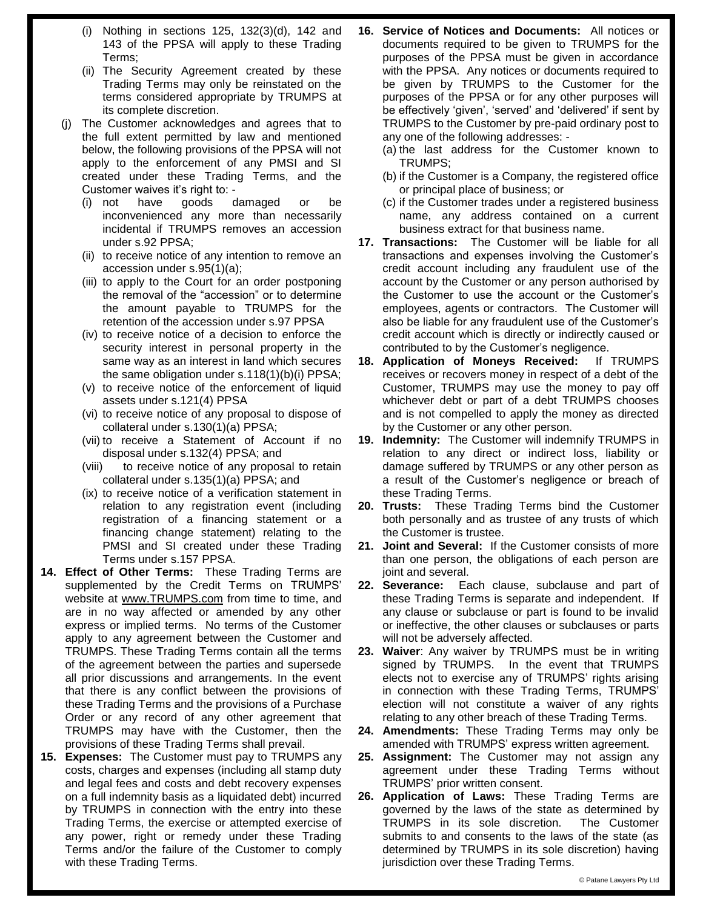- (i) Nothing in sections 125, 132(3)(d), 142 and 143 of the PPSA will apply to these Trading Terms;
- (ii) The Security Agreement created by these Trading Terms may only be reinstated on the terms considered appropriate by TRUMPS at its complete discretion.
- (j) The Customer acknowledges and agrees that to the full extent permitted by law and mentioned below, the following provisions of the PPSA will not apply to the enforcement of any PMSI and SI created under these Trading Terms, and the Customer waives it's right to: -
	- (i) not have goods damaged or be inconvenienced any more than necessarily incidental if TRUMPS removes an accession under s.92 PPSA;
	- (ii) to receive notice of any intention to remove an accession under s.95(1)(a);
	- (iii) to apply to the Court for an order postponing the removal of the "accession" or to determine the amount payable to TRUMPS for the retention of the accession under s.97 PPSA
	- (iv) to receive notice of a decision to enforce the security interest in personal property in the same way as an interest in land which secures the same obligation under s.118(1)(b)(i) PPSA;
	- (v) to receive notice of the enforcement of liquid assets under s.121(4) PPSA
	- (vi) to receive notice of any proposal to dispose of collateral under s.130(1)(a) PPSA;
	- (vii) to receive a Statement of Account if no disposal under s.132(4) PPSA; and
	- (viii) to receive notice of any proposal to retain collateral under s.135(1)(a) PPSA; and
	- (ix) to receive notice of a verification statement in relation to any registration event (including registration of a financing statement or a financing change statement) relating to the PMSI and SI created under these Trading Terms under s.157 PPSA.
- **14. Effect of Other Terms:** These Trading Terms are supplemented by the Credit Terms on TRUMPS' website at www.TRUMPS.com from time to time, and are in no way affected or amended by any other express or implied terms. No terms of the Customer apply to any agreement between the Customer and TRUMPS. These Trading Terms contain all the terms of the agreement between the parties and supersede all prior discussions and arrangements. In the event that there is any conflict between the provisions of these Trading Terms and the provisions of a Purchase Order or any record of any other agreement that TRUMPS may have with the Customer, then the provisions of these Trading Terms shall prevail.
- **15. Expenses:** The Customer must pay to TRUMPS any costs, charges and expenses (including all stamp duty and legal fees and costs and debt recovery expenses on a full indemnity basis as a liquidated debt) incurred by TRUMPS in connection with the entry into these Trading Terms, the exercise or attempted exercise of any power, right or remedy under these Trading Terms and/or the failure of the Customer to comply with these Trading Terms.
- **16. Service of Notices and Documents:** All notices or documents required to be given to TRUMPS for the purposes of the PPSA must be given in accordance with the PPSA. Any notices or documents required to be given by TRUMPS to the Customer for the purposes of the PPSA or for any other purposes will be effectively 'given', 'served' and 'delivered' if sent by TRUMPS to the Customer by pre-paid ordinary post to any one of the following addresses: -
	- (a) the last address for the Customer known to TRUMPS;
	- (b) if the Customer is a Company, the registered office or principal place of business; or
	- (c) if the Customer trades under a registered business name, any address contained on a current business extract for that business name.
- **17. Transactions:** The Customer will be liable for all transactions and expenses involving the Customer's credit account including any fraudulent use of the account by the Customer or any person authorised by the Customer to use the account or the Customer's employees, agents or contractors. The Customer will also be liable for any fraudulent use of the Customer's credit account which is directly or indirectly caused or contributed to by the Customer's negligence.
- **18. Application of Moneys Received:** If TRUMPS receives or recovers money in respect of a debt of the Customer, TRUMPS may use the money to pay off whichever debt or part of a debt TRUMPS chooses and is not compelled to apply the money as directed by the Customer or any other person.
- **19. Indemnity:** The Customer will indemnify TRUMPS in relation to any direct or indirect loss, liability or damage suffered by TRUMPS or any other person as a result of the Customer's negligence or breach of these Trading Terms.
- **20. Trusts:** These Trading Terms bind the Customer both personally and as trustee of any trusts of which the Customer is trustee.
- **21. Joint and Several:** If the Customer consists of more than one person, the obligations of each person are joint and several.
- **22. Severance:** Each clause, subclause and part of these Trading Terms is separate and independent. If any clause or subclause or part is found to be invalid or ineffective, the other clauses or subclauses or parts will not be adversely affected.
- **23. Waiver**: Any waiver by TRUMPS must be in writing signed by TRUMPS. In the event that TRUMPS elects not to exercise any of TRUMPS' rights arising in connection with these Trading Terms, TRUMPS' election will not constitute a waiver of any rights relating to any other breach of these Trading Terms.
- **24. Amendments:** These Trading Terms may only be amended with TRUMPS' express written agreement.
- **25. Assignment:** The Customer may not assign any agreement under these Trading Terms without TRUMPS' prior written consent.
- **26. Application of Laws:** These Trading Terms are governed by the laws of the state as determined by TRUMPS in its sole discretion. The Customer submits to and consents to the laws of the state (as determined by TRUMPS in its sole discretion) having jurisdiction over these Trading Terms.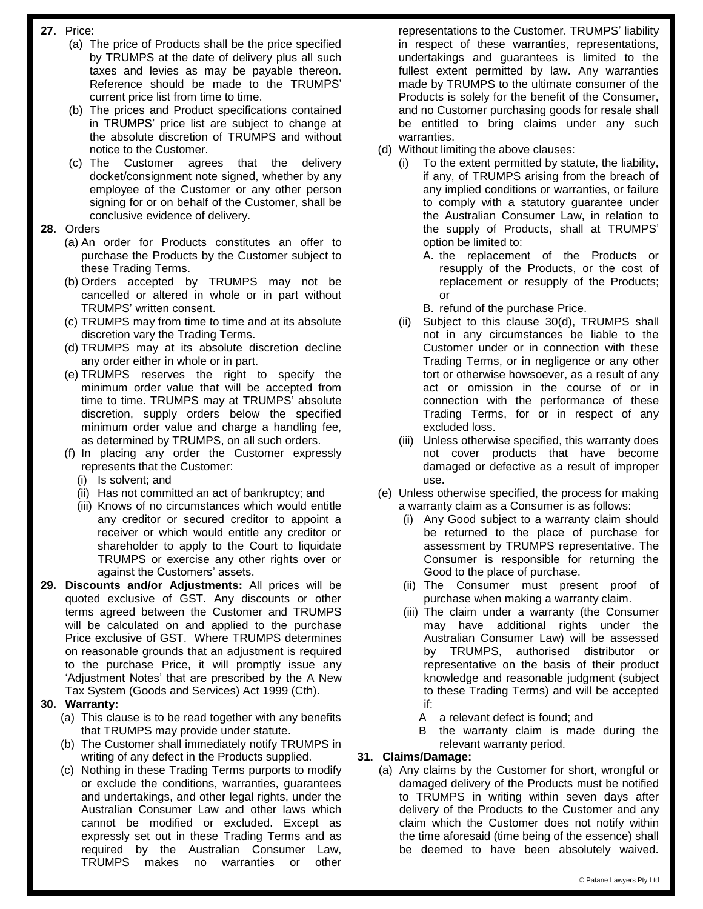- **27.** Price:
	- (a) The price of Products shall be the price specified by TRUMPS at the date of delivery plus all such taxes and levies as may be payable thereon. Reference should be made to the TRUMPS' current price list from time to time.
	- (b) The prices and Product specifications contained in TRUMPS' price list are subject to change at the absolute discretion of TRUMPS and without notice to the Customer.
	- (c) The Customer agrees that the delivery docket/consignment note signed, whether by any employee of the Customer or any other person signing for or on behalf of the Customer, shall be conclusive evidence of delivery.

## **28.** Orders

- (a) An order for Products constitutes an offer to purchase the Products by the Customer subject to these Trading Terms.
- (b) Orders accepted by TRUMPS may not be cancelled or altered in whole or in part without TRUMPS' written consent.
- (c) TRUMPS may from time to time and at its absolute discretion vary the Trading Terms.
- (d) TRUMPS may at its absolute discretion decline any order either in whole or in part.
- (e) TRUMPS reserves the right to specify the minimum order value that will be accepted from time to time. TRUMPS may at TRUMPS' absolute discretion, supply orders below the specified minimum order value and charge a handling fee, as determined by TRUMPS, on all such orders.
- (f) In placing any order the Customer expressly represents that the Customer:
	- (i) Is solvent; and
	- (ii) Has not committed an act of bankruptcy; and
	- (iii) Knows of no circumstances which would entitle any creditor or secured creditor to appoint a receiver or which would entitle any creditor or shareholder to apply to the Court to liquidate TRUMPS or exercise any other rights over or against the Customers' assets.
- **29. Discounts and/or Adjustments:** All prices will be quoted exclusive of GST. Any discounts or other terms agreed between the Customer and TRUMPS will be calculated on and applied to the purchase Price exclusive of GST. Where TRUMPS determines on reasonable grounds that an adjustment is required to the purchase Price, it will promptly issue any 'Adjustment Notes' that are prescribed by the A New Tax System (Goods and Services) Act 1999 (Cth).

## **30. Warranty:**

- (a) This clause is to be read together with any benefits that TRUMPS may provide under statute.
- (b) The Customer shall immediately notify TRUMPS in writing of any defect in the Products supplied.
- (c) Nothing in these Trading Terms purports to modify or exclude the conditions, warranties, guarantees and undertakings, and other legal rights, under the Australian Consumer Law and other laws which cannot be modified or excluded. Except as expressly set out in these Trading Terms and as required by the Australian Consumer Law, TRUMPS makes no warranties or other

representations to the Customer. TRUMPS' liability in respect of these warranties, representations, undertakings and guarantees is limited to the fullest extent permitted by law. Any warranties made by TRUMPS to the ultimate consumer of the Products is solely for the benefit of the Consumer, and no Customer purchasing goods for resale shall be entitled to bring claims under any such warranties.

- (d) Without limiting the above clauses:
	- (i) To the extent permitted by statute, the liability, if any, of TRUMPS arising from the breach of any implied conditions or warranties, or failure to comply with a statutory guarantee under the Australian Consumer Law, in relation to the supply of Products, shall at TRUMPS' option be limited to:
		- A. the replacement of the Products or resupply of the Products, or the cost of replacement or resupply of the Products; or
		- B. refund of the purchase Price.
	- (ii) Subject to this clause 30(d), TRUMPS shall not in any circumstances be liable to the Customer under or in connection with these Trading Terms, or in negligence or any other tort or otherwise howsoever, as a result of any act or omission in the course of or in connection with the performance of these Trading Terms, for or in respect of any excluded loss.
	- (iii) Unless otherwise specified, this warranty does not cover products that have become damaged or defective as a result of improper use.
- (e) Unless otherwise specified, the process for making a warranty claim as a Consumer is as follows:
	- (i) Any Good subject to a warranty claim should be returned to the place of purchase for assessment by TRUMPS representative. The Consumer is responsible for returning the Good to the place of purchase.
	- (ii) The Consumer must present proof of purchase when making a warranty claim.
	- (iii) The claim under a warranty (the Consumer may have additional rights under the Australian Consumer Law) will be assessed by TRUMPS, authorised distributor or representative on the basis of their product knowledge and reasonable judgment (subject to these Trading Terms) and will be accepted if:
		- A a relevant defect is found; and
		- B the warranty claim is made during the relevant warranty period.

## **31. Claims/Damage:**

(a) Any claims by the Customer for short, wrongful or damaged delivery of the Products must be notified to TRUMPS in writing within seven days after delivery of the Products to the Customer and any claim which the Customer does not notify within the time aforesaid (time being of the essence) shall be deemed to have been absolutely waived.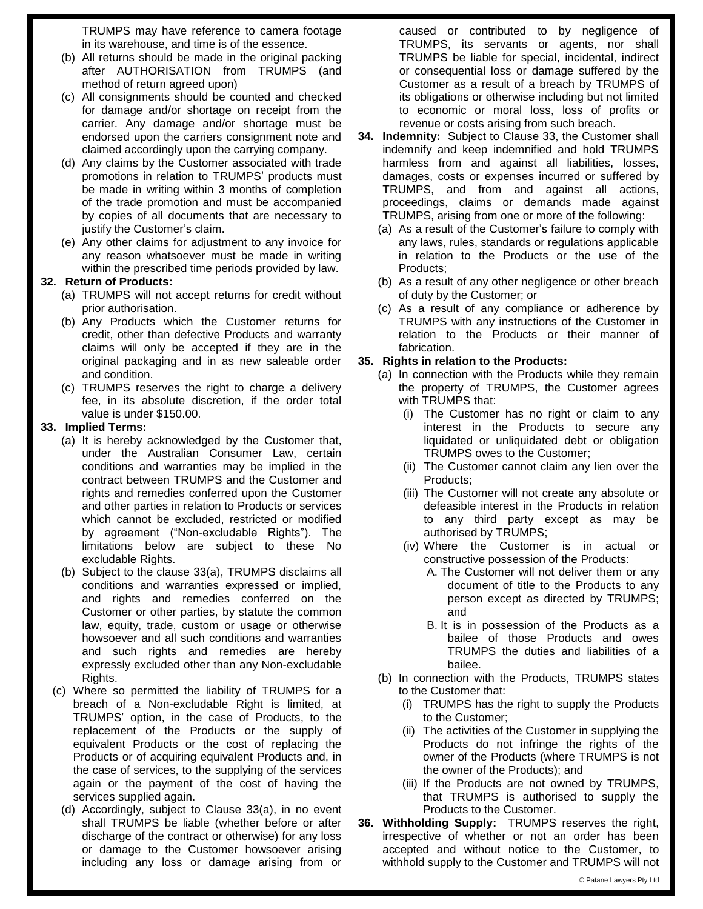TRUMPS may have reference to camera footage in its warehouse, and time is of the essence.

- (b) All returns should be made in the original packing after AUTHORISATION from TRUMPS (and method of return agreed upon)
- (c) All consignments should be counted and checked for damage and/or shortage on receipt from the carrier. Any damage and/or shortage must be endorsed upon the carriers consignment note and claimed accordingly upon the carrying company.
- (d) Any claims by the Customer associated with trade promotions in relation to TRUMPS' products must be made in writing within 3 months of completion of the trade promotion and must be accompanied by copies of all documents that are necessary to justify the Customer's claim.
- (e) Any other claims for adjustment to any invoice for any reason whatsoever must be made in writing within the prescribed time periods provided by law.

#### **32. Return of Products:**

- (a) TRUMPS will not accept returns for credit without prior authorisation.
- (b) Any Products which the Customer returns for credit, other than defective Products and warranty claims will only be accepted if they are in the original packaging and in as new saleable order and condition.
- (c) TRUMPS reserves the right to charge a delivery fee, in its absolute discretion, if the order total value is under \$150.00.

#### **33. Implied Terms:**

- (a) It is hereby acknowledged by the Customer that, under the Australian Consumer Law, certain conditions and warranties may be implied in the contract between TRUMPS and the Customer and rights and remedies conferred upon the Customer and other parties in relation to Products or services which cannot be excluded, restricted or modified by agreement ("Non-excludable Rights"). The limitations below are subject to these No excludable Rights.
- (b) Subject to the clause 33(a), TRUMPS disclaims all conditions and warranties expressed or implied, and rights and remedies conferred on the Customer or other parties, by statute the common law, equity, trade, custom or usage or otherwise howsoever and all such conditions and warranties and such rights and remedies are hereby expressly excluded other than any Non-excludable Rights.
- (c) Where so permitted the liability of TRUMPS for a breach of a Non-excludable Right is limited, at TRUMPS' option, in the case of Products, to the replacement of the Products or the supply of equivalent Products or the cost of replacing the Products or of acquiring equivalent Products and, in the case of services, to the supplying of the services again or the payment of the cost of having the services supplied again.
	- (d) Accordingly, subject to Clause 33(a), in no event shall TRUMPS be liable (whether before or after discharge of the contract or otherwise) for any loss or damage to the Customer howsoever arising including any loss or damage arising from or

caused or contributed to by negligence of TRUMPS, its servants or agents, nor shall TRUMPS be liable for special, incidental, indirect or consequential loss or damage suffered by the Customer as a result of a breach by TRUMPS of its obligations or otherwise including but not limited to economic or moral loss, loss of profits or revenue or costs arising from such breach.

- **34. Indemnity:** Subject to Clause 33, the Customer shall indemnify and keep indemnified and hold TRUMPS harmless from and against all liabilities, losses, damages, costs or expenses incurred or suffered by TRUMPS, and from and against all actions, proceedings, claims or demands made against TRUMPS, arising from one or more of the following:
	- (a) As a result of the Customer's failure to comply with any laws, rules, standards or regulations applicable in relation to the Products or the use of the Products;
	- (b) As a result of any other negligence or other breach of duty by the Customer; or
	- (c) As a result of any compliance or adherence by TRUMPS with any instructions of the Customer in relation to the Products or their manner of fabrication.

## **35. Rights in relation to the Products:**

- (a) In connection with the Products while they remain the property of TRUMPS, the Customer agrees with TRUMPS that:
	- (i) The Customer has no right or claim to any interest in the Products to secure any liquidated or unliquidated debt or obligation TRUMPS owes to the Customer;
	- (ii) The Customer cannot claim any lien over the Products;
	- (iii) The Customer will not create any absolute or defeasible interest in the Products in relation to any third party except as may be authorised by TRUMPS;
	- (iv) Where the Customer is in actual or constructive possession of the Products:
		- A. The Customer will not deliver them or any document of title to the Products to any person except as directed by TRUMPS; and
		- B. It is in possession of the Products as a bailee of those Products and owes TRUMPS the duties and liabilities of a bailee.
- (b) In connection with the Products, TRUMPS states to the Customer that:
	- (i) TRUMPS has the right to supply the Products to the Customer;
	- (ii) The activities of the Customer in supplying the Products do not infringe the rights of the owner of the Products (where TRUMPS is not the owner of the Products); and
	- (iii) If the Products are not owned by TRUMPS, that TRUMPS is authorised to supply the Products to the Customer.
- **36. Withholding Supply:** TRUMPS reserves the right, irrespective of whether or not an order has been accepted and without notice to the Customer, to withhold supply to the Customer and TRUMPS will not